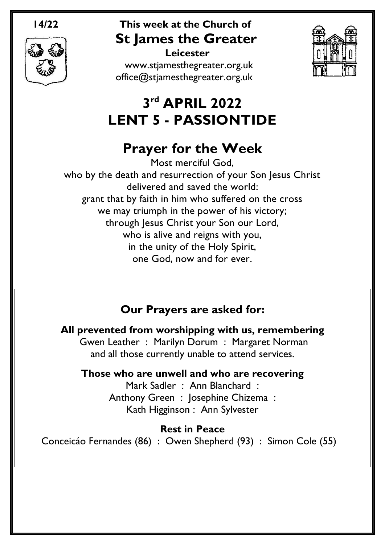

# **14/22 This week at the Church of St James the Greater**

 **Leicester** [www.stjamesthegreater.org.uk](http://www.stjamesthegreater.org.uk/) [office@stjamesthegreater.org.uk](mailto:office@stjamesthegreater.org.uk)



# **3 rd APRIL 2022 LENT 5 - PASSIONTIDE**

# **Prayer for the Week**

Most merciful God, who by the death and resurrection of your Son Jesus Christ delivered and saved the world: grant that by faith in him who suffered on the cross we may triumph in the power of his victory; through Jesus Christ your Son our Lord, who is alive and reigns with you, in the unity of the Holy Spirit, one God, now and for ever.

# **Our Prayers are asked for:**

**All prevented from worshipping with us, remembering** Gwen Leather : Marilyn Dorum : Margaret Norman and all those currently unable to attend services.

**Those who are unwell and who are recovering**

Mark Sadler : Ann Blanchard : Anthony Green : Josephine Chizema : Kath Higginson : Ann Sylvester

**Rest in Peace** Conceicáo Fernandes (86) : Owen Shepherd (93) : Simon Cole (55)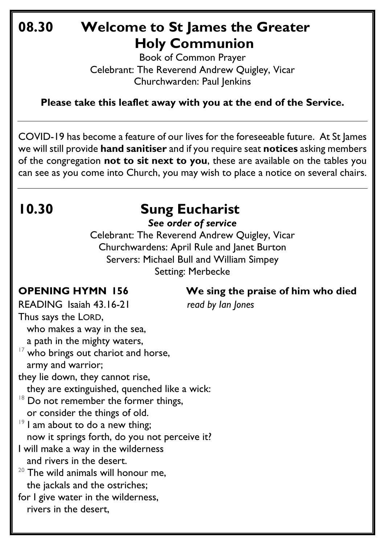# **08.30 Welcome to St James the Greater Holy Communion**

Book of Common Prayer Celebrant: The Reverend Andrew Quigley, Vicar Churchwarden: Paul Jenkins

**Please take this leaflet away with you at the end of the Service.**

COVID-19 has become a feature of our lives for the foreseeable future. At St James we will still provide **hand sanitiser** and if you require seat **notices** asking members of the congregation **not to sit next to you**, these are available on the tables you can see as you come into Church, you may wish to place a notice on several chairs.

# **10.30 Sung Eucharist**

*See order of service*

Celebrant: The Reverend Andrew Quigley, Vicar Churchwardens: April Rule and Janet Burton Servers: Michael Bull and William Simpey Setting: Merbecke

**OPENING HYMN 156 We sing the praise of him who died**

READING Isaiah 43.16-21 *read by Ian Jones*

Thus says the LORD, who makes a way in the sea, a path in the mighty waters,  $17$  who brings out chariot and horse, army and warrior; they lie down, they cannot rise, they are extinguished, quenched like a wick:  $18$  Do not remember the former things, or consider the things of old.  $19$  I am about to do a new thing; now it springs forth, do you not perceive it? I will make a way in the wilderness and rivers in the desert.  $20$  The wild animals will honour me, the jackals and the ostriches; for I give water in the wilderness, rivers in the desert,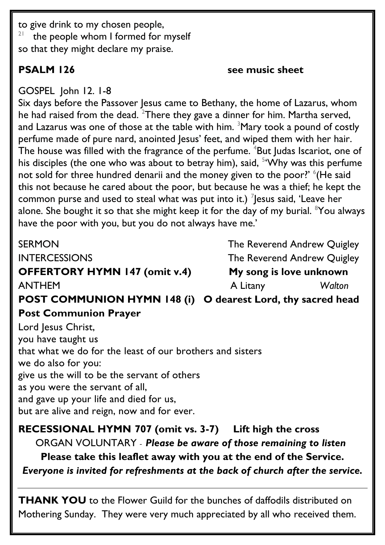to give drink to my chosen people, 21 the people whom I formed for myself so that they might declare my praise.

## **PSALM** 126 **see music sheet**

GOSPEL John 12. 1-8

Six days before the Passover Jesus came to Bethany, the home of Lazarus, whom he had raised from the dead. <sup>2</sup>There they gave a dinner for him. Martha served, and Lazarus was one of those at the table with him.  $3$ Mary took a pound of costly perfume made of pure nard, anointed Jesus' feet, and wiped them with her hair. The house was filled with the fragrance of the perfume. <sup>4</sup>But Judas Iscariot, one of his disciples (the one who was about to betray him), said, <sup>5</sup>'Why was this perfume not sold for three hundred denarii and the money given to the poor?' <sup>6</sup>(He said this not because he cared about the poor, but because he was a thief; he kept the common purse and used to steal what was put into it.)  $\frac{7}{3}$  esus said, 'Leave her alone. She bought it so that she might keep it for the day of my burial. <sup>8</sup>You always have the poor with you, but you do not always have me.'

SERMON **SERMON** SERMON INTERCESSIONS The Reverend Andrew Quigley **OFFERTORY HYMN 147 (omit v.4) My song is love unknown** ANTHEMA Litany *Walton*

**POST COMMUNION HYMN 148 (i) O dearest Lord, thy sacred head Post Communion Prayer** 

Lord Jesus Christ, you have taught us that what we do for the least of our brothers and sisters we do also for you: give us the will to be the servant of others as you were the servant of all, and gave up your life and died for us, but are alive and reign, now and for ever.

**RECESSIONAL HYMN 707 (omit vs. 3-7) Lift high the cross**  ORGAN VOLUNTARY - *Please be aware of those remaining to listen* **Please take this leaflet away with you at the end of the Service.**  *Everyone is invited for refreshments at the back of church after the service.*

**THANK YOU** to the Flower Guild for the bunches of daffodils distributed on Mothering Sunday. They were very much appreciated by all who received them.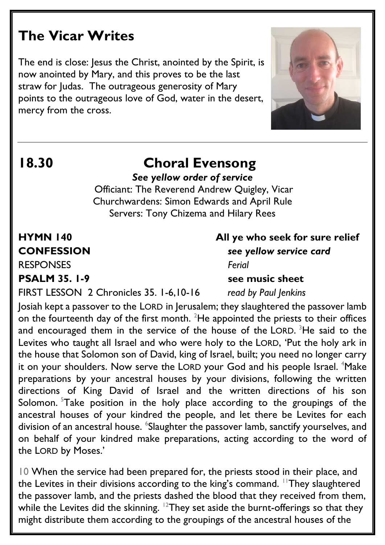# **The Vicar Writes**

The end is close: Jesus the Christ, anointed by the Spirit, is now anointed by Mary, and this proves to be the last straw for Judas. The outrageous generosity of Mary points to the outrageous love of God, water in the desert, mercy from the cross.



## **18.30 Choral Evensong** *See yellow order of service*

Officiant: The Reverend Andrew Quigley, Vicar Churchwardens: Simon Edwards and April Rule Servers: Tony Chizema and Hilary Rees

RESPONSES *Ferial*

**PSALM** 35. 1-9 see music sheet

**HYMN 140 All ye who seek for sure relief CONFESSION** *see yellow service card*

FIRST LESSON 2 Chronicles 35. 1-6,10-16 *read by Paul Jenkins*

Josiah kept a passover to the LORD in Jerusalem; they slaughtered the passover lamb on the fourteenth day of the first month.  $^{2}$ He appointed the priests to their offices and encouraged them in the service of the house of the LORD. <sup>3</sup>He said to the Levites who taught all Israel and who were holy to the LORD, 'Put the holy ark in the house that Solomon son of David, king of Israel, built; you need no longer carry it on your shoulders. Now serve the LORD your God and his people Israel. <sup>4</sup>Make preparations by your ancestral houses by your divisions, following the written directions of King David of Israel and the written directions of his son Solomon. <sup>5</sup>Take position in the holy place according to the groupings of the ancestral houses of your kindred the people, and let there be Levites for each division of an ancestral house. <sup>6</sup>Slaughter the passover lamb, sanctify yourselves, and on behalf of your kindred make preparations, acting according to the word of the LORD by Moses.'

10 When the service had been prepared for, the priests stood in their place, and the Levites in their divisions according to the king's command. <sup>11</sup>They slaughtered the passover lamb, and the priests dashed the blood that they received from them, while the Levites did the skinning.  $12$ They set aside the burnt-offerings so that they might distribute them according to the groupings of the ancestral houses of the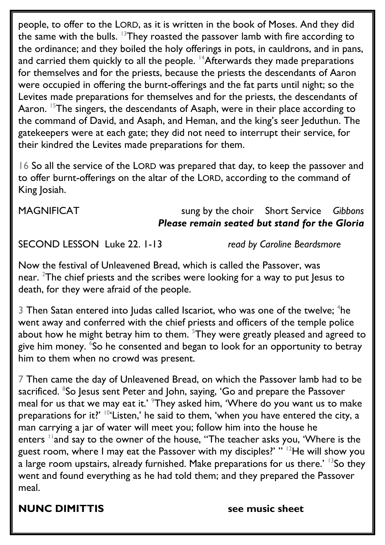people, to offer to the LORD, as it is written in the book of Moses. And they did the same with the bulls.  $13$ They roasted the passover lamb with fire according to the ordinance; and they boiled the holy offerings in pots, in cauldrons, and in pans, and carried them quickly to all the people. <sup>14</sup>Afterwards they made preparations for themselves and for the priests, because the priests the descendants of Aaron were occupied in offering the burnt-offerings and the fat parts until night; so the Levites made preparations for themselves and for the priests, the descendants of Aaron. <sup>15</sup>The singers, the descendants of Asaph, were in their place according to the command of David, and Asaph, and Heman, and the king's seer Jeduthun. The gatekeepers were at each gate; they did not need to interrupt their service, for their kindred the Levites made preparations for them.

16 So all the service of the LORD was prepared that day, to keep the passover and to offer burnt-offerings on the altar of the LORD, according to the command of King Josiah.

## MAGNIFICAT sung by the choir Short Service *Gibbons Please remain seated but stand for the Gloria*

SECOND LESSON Luke 22. 1-13 *read by Caroline Beardsmore*

Now the festival of Unleavened Bread, which is called the Passover, was near. <sup>2</sup>The chief priests and the scribes were looking for a way to put Jesus to death, for they were afraid of the people.

3 Then Satan entered into Judas called Iscariot, who was one of the twelve;  ${}^{4}$ he went away and conferred with the chief priests and officers of the temple police about how he might betray him to them. <sup>5</sup>They were greatly pleased and agreed to give him money. <sup>6</sup>So he consented and began to look for an opportunity to betray him to them when no crowd was present.

7 Then came the day of Unleavened Bread, on which the Passover lamb had to be sacrificed. <sup>8</sup>S0 Jesus sent Peter and John, saying, 'G0 and prepare the Passover meal for us that we may eat it.' <sup>9</sup>They asked him, 'Where do you want us to make preparations for it?'  $10^4$  Listen,' he said to them, 'when you have entered the city, a man carrying a jar of water will meet you; follow him into the house he enters <sup>11</sup>and say to the owner of the house, "The teacher asks you, 'Where is the guest room, where I may eat the Passover with my disciples?'  $"\,$   $^{12}$ He will show you a large room upstairs, already furnished. Make preparations for us there.'  $13$ So they went and found everything as he had told them; and they prepared the Passover meal.

**NUNC DIMITTIS see music sheet**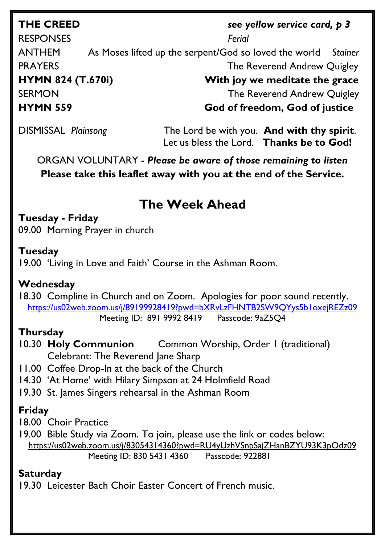# **THE CREED** *see yellow service card, p 3*

RESPONSES *Ferial*  ANTHEM As Moses lifted up the serpent/God so loved the world *Stainer* **PRAYERS** The Reverend Andrew Quigley **HYMN 824 (T.670i) With joy we meditate the grace**  SERMON SERMON SERMON

**HYMN 559 God of freedom, God of justice**

DISMISSAL *Plainsong* The Lord be with you. **And with thy spirit**. Let us bless the Lord. **Thanks be to God!**

ORGAN VOLUNTARY - *Please be aware of those remaining to listen* **Please take this leaflet away with you at the end of the Service.** 

# **The Week Ahead**

**Tuesday - Friday** 09.00 Morning Prayer in church

## **Tuesday**

19.00 'Living in Love and Faith' Course in the Ashman Room.

## **Wednesday**

18.30 Compline in Church and on Zoom. Apologies for poor sound recently. <https://us02web.zoom.us/j/89199928419?pwd=bXRvLzFHNTB2SW9QYys5b1oxejREZz09> Meeting ID: 891 9992 8419 Passcode: 9aZ5Q4

## **Thursday**

- 10.30 **Holy Communion** Common Worship, Order 1 (traditional) Celebrant: The Reverend Jane Sharp
- 11.00 Coffee Drop-In at the back of the Church
- 14.30 'At Home' with Hilary Simpson at 24 Holmfield Road
- 19.30 St. James Singers rehearsal in the Ashman Room

## **Friday**

18.00 Choir Practice

19.00 Bible Study via Zoom. To join, please use the link or codes below: <https://us02web.zoom.us/j/83054314360?pwd=RU4yUzhVSnpSajZHanBZYU93K3pOdz09> Meeting ID: 830 5431 4360 Passcode: 922881

## **Saturday**

19.30 Leicester Bach Choir Easter Concert of French music.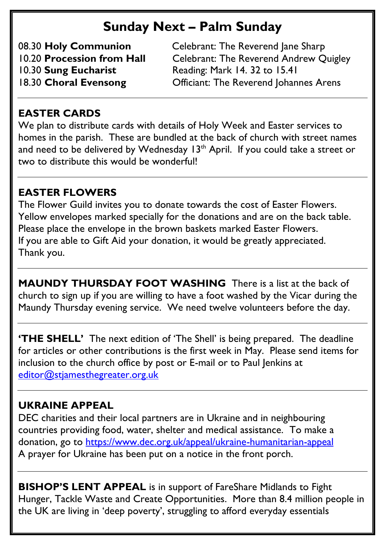# **Sunday Next – Palm Sunday**

08.30 **Holy Communion** Celebrant: The Reverend Jane Sharp 10.20 **Procession from Hall** Celebrant: The Reverend Andrew Quigley<br>10.30 **Sung Eucharist** Reading: Mark 14. 32 to 15.41 10.30 **Sung Eucharist** Reading: Mark 14. 32 to 15.41 18.30 **Choral Evensong** Officiant: The Reverend Johannes Arens

## **EASTER CARDS**

We plan to distribute cards with details of Holy Week and Easter services to homes in the parish. These are bundled at the back of church with street names and need to be delivered by Wednesday  $13<sup>th</sup>$  April. If you could take a street or two to distribute this would be wonderful!

## **EASTER FLOWERS**

The Flower Guild invites you to donate towards the cost of Easter Flowers. Yellow envelopes marked specially for the donations and are on the back table. Please place the envelope in the brown baskets marked Easter Flowers. If you are able to Gift Aid your donation, it would be greatly appreciated. Thank you.

**MAUNDY THURSDAY FOOT WASHING** There is a list at the back of church to sign up if you are willing to have a foot washed by the Vicar during the Maundy Thursday evening service. We need twelve volunteers before the day.

**'THE SHELL'** The next edition of 'The Shell' is being prepared. The deadline for articles or other contributions is the first week in May. Please send items for inclusion to the church office by post or E-mail or to Paul Jenkins at [editor@stjamesthegreater.org.uk](mailto:editor@stjamesthegreater.org.uk)

## **UKRAINE APPEAL**

DEC charities and their local partners are in Ukraine and in neighbouring countries providing food, water, shelter and medical assistance. To make a donation, go to<https://www.dec.org.uk/appeal/ukraine-humanitarian-appeal> A prayer for Ukraine has been put on a notice in the front porch.

**BISHOP'S LENT APPEAL** is in support of FareShare Midlands to Fight Hunger, Tackle Waste and Create Opportunities. More than 8.4 million people in the UK are living in 'deep poverty', struggling to afford everyday essentials